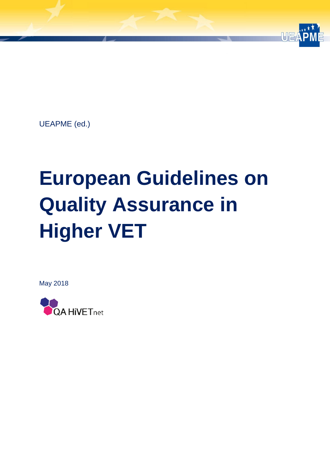

# **European Guidelines on Quality Assurance in Higher VET**

UE

May 2018

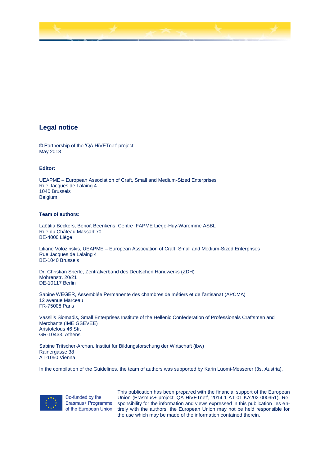

#### **Legal notice**

© Partnership of the 'QA HiVETnet' project May 2018

#### **Editor:**

UEAPME – European Association of Craft, Small and Medium-Sized Enterprises Rue Jacques de Lalaing 4 1040 Brussels Belgium

#### **Team of authors:**

Laëtitia Beckers, Benoît Beenkens, Centre IFAPME Liège-Huy-Waremme ASBL Rue du Château Massart 70 BE-4000 Liège

Liliane Volozinskis, UEAPME – European Association of Craft, Small and Medium-Sized Enterprises Rue Jacques de Lalaing 4 BE-1040 Brussels

Dr. Christian Sperle, Zentralverband des Deutschen Handwerks (ZDH) Mohrenstr. 20/21 DE-10117 Berlin

Sabine WEGER, Assemblée Permanente des chambres de métiers et de l'artisanat (APCMA) 12 avenue Marceau FR-75008 Paris

Vassilis Siomadis, Small Enterprises Institute of the Hellenic Confederation of Professionals Craftsmen and Merchants (IME GSEVEE) Aristotelous 46 Str. GR-10433, Athens

Sabine Tritscher-Archan, Institut für Bildungsforschung der Wirtschaft (ibw) Rainergasse 38 AT-1050 Vienna

In the compilation of the Guidelines, the team of authors was supported by Karin Luomi-Messerer (3s, Austria).



Co-funded by the Erasmus+ Programme of the European Union

This publication has been prepared with the financial support of the European Union (Erasmus+ project 'QA HiVETnet', 2014-1-AT-01-KA202-000951). Responsibility for the information and views expressed in this publication lies entirely with the authors; the European Union may not be held responsible for the use which may be made of the information contained therein.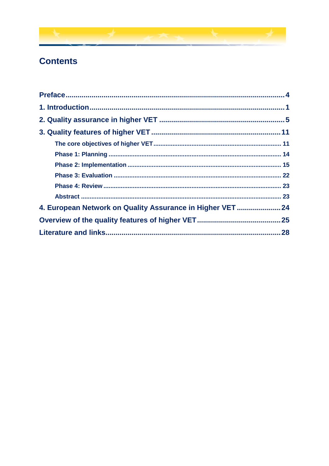

## **Contents**

| 4. European Network on Quality Assurance in Higher VET24 |  |
|----------------------------------------------------------|--|
|                                                          |  |
|                                                          |  |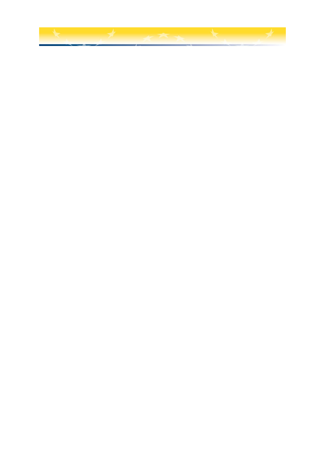<span id="page-3-0"></span>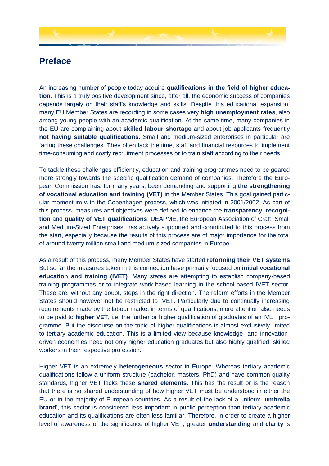## **Preface**

An increasing number of people today acquire **qualifications in the field of higher education**. This is a truly positive development since, after all, the economic success of companies depends largely on their staff's knowledge and skills. Despite this educational expansion, many EU Member States are recording in some cases very **high unemployment rates**, also among young people with an academic qualification. At the same time, many companies in the EU are complaining about **skilled labour shortage** and about job applicants frequently **not having suitable qualifications**. Small and medium-sized enterprises in particular are facing these challenges. They often lack the time, staff and financial resources to implement time-consuming and costly recruitment processes or to train staff according to their needs.

To tackle these challenges efficiently, education and training programmes need to be geared more strongly towards the specific qualification demand of companies. Therefore the European Commission has, for many years, been demanding and supporting **the strengthening of vocational education and training (VET)** in the Member States. This goal gained particular momentum with the Copenhagen process, which was initiated in 2001/2002. As part of this process, measures and objectives were defined to enhance the **transparency, recognition** and **quality of VET qualifications**. UEAPME, the European Association of Craft, Small and Medium-Sized Enterprises, has actively supported and contributed to this process from the start, especially because the results of this process are of major importance for the total of around twenty million small and medium-sized companies in Europe.

As a result of this process, many Member States have started **reforming their VET systems**. But so far the measures taken in this connection have primarily focused on **initial vocational education and training (IVET)**. Many states are attempting to establish company-based training programmes or to integrate work-based learning in the school-based IVET sector. These are, without any doubt, steps in the right direction. The reform efforts in the Member States should however not be restricted to IVET. Particularly due to continually increasing requirements made by the labour market in terms of qualifications, more attention also needs to be paid to **higher VET**, i.e. the further or higher qualification of graduates of an IVET programme. But the discourse on the topic of higher qualifications is almost exclusively limited to tertiary academic education. This is a limited view because knowledge- and innovationdriven economies need not only higher education graduates but also highly qualified, skilled workers in their respective profession.

Higher VET is an extremely **heterogeneous** sector in Europe. Whereas tertiary academic qualifications follow a uniform structure (bachelor, masters, PhD) and have common quality standards, higher VET lacks these **shared elements**. This has the result or is the reason that there is no shared understanding of how higher VET must be understood in either the EU or in the majority of European countries. As a result of the lack of a uniform '**umbrella brand**', this sector is considered less important in public perception than tertiary academic education and its qualifications are often less familiar. Therefore, in order to create a higher level of awareness of the significance of higher VET, greater **understanding** and **clarity** is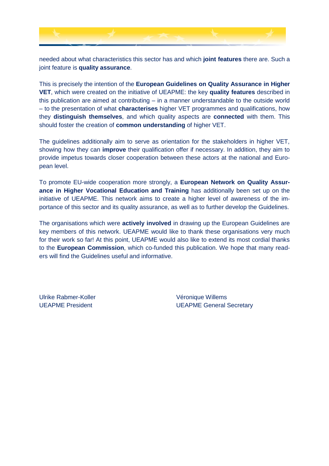

needed about what characteristics this sector has and which **joint features** there are. Such a joint feature is **quality assurance**.

This is precisely the intention of the **European Guidelines on Quality Assurance in Higher VET**, which were created on the initiative of UEAPME: the key **quality features** described in this publication are aimed at contributing – in a manner understandable to the outside world – to the presentation of what **characterises** higher VET programmes and qualifications, how they **distinguish themselves**, and which quality aspects are **connected** with them. This should foster the creation of **common understanding** of higher VET.

The guidelines additionally aim to serve as orientation for the stakeholders in higher VET, showing how they can **improve** their qualification offer if necessary. In addition, they aim to provide impetus towards closer cooperation between these actors at the national and European level.

To promote EU-wide cooperation more strongly, a **European Network on Quality Assurance in Higher Vocational Education and Training** has additionally been set up on the initiative of UEAPME. This network aims to create a higher level of awareness of the importance of this sector and its quality assurance, as well as to further develop the Guidelines.

The organisations which were **actively involved** in drawing up the European Guidelines are key members of this network. UEAPME would like to thank these organisations very much for their work so far! At this point, UEAPME would also like to extend its most cordial thanks to the **European Commission**, which co-funded this publication. We hope that many readers will find the Guidelines useful and informative.

Ulrike Rabmer-Koller Véronique Willems

UEAPME President **UEAPME** General Secretary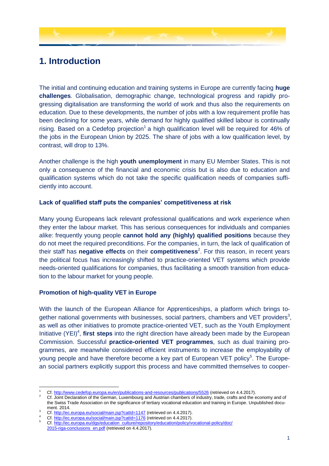

## <span id="page-6-0"></span>**1. Introduction**

The initial and continuing education and training systems in Europe are currently facing **huge challenges**. Globalisation, demographic change, technological progress and rapidly progressing digitalisation are transforming the world of work and thus also the requirements on education. Due to these developments, the number of jobs with a low requirement profile has been declining for some years, while demand for highly qualified skilled labour is continually rising. Based on a Cedefop projection<sup>1</sup> a high qualification level will be required for 46% of the jobs in the European Union by 2025. The share of jobs with a low qualification level, by contrast, will drop to 13%.

Another challenge is the high **youth unemployment** in many EU Member States. This is not only a consequence of the financial and economic crisis but is also due to education and qualification systems which do not take the specific qualification needs of companies sufficiently into account.

#### **Lack of qualified staff puts the companies' competitiveness at risk**

Many young Europeans lack relevant professional qualifications and work experience when they enter the labour market. This has serious consequences for individuals and companies alike: frequently young people **cannot hold any (highly) qualified positions** because they do not meet the required preconditions. For the companies, in turn, the lack of qualification of their staff has **negative effects** on their **competitiveness**<sup>2</sup>. For this reason, in recent years the political focus has increasingly shifted to practice-oriented VET systems which provide needs-oriented qualifications for companies, thus facilitating a smooth transition from education to the labour market for young people.

#### **Promotion of high-quality VET in Europe**

 $\overline{\phantom{a}}$ 

With the launch of the European Alliance for Apprenticeships, a platform which brings together national governments with businesses, social partners, chambers and VET providers<sup>3</sup>, as well as other initiatives to promote practice-oriented VET, such as the Youth Employment Initiative (YEI)<sup>4</sup>, first steps into the right direction have already been made by the European Commission. Successful **practice-oriented VET programmes**, such as dual training programmes, are meanwhile considered efficient instruments to increase the employability of young people and have therefore become a key part of European VET policy<sup>5</sup>. The European social partners explicitly support this process and have committed themselves to cooper-

<sup>2</sup> Cf. Joint Declaration of the German, Luxembourg and Austrian chambers of industry, trade, crafts and the economy and of the Swiss Trade Association on the significance of tertiary vocational education and training in Europe. Unpublished document. 2014.

<sup>&</sup>lt;sup>1</sup> Cf[. http://www.cedefop.europa.eu/en/publications-and-resources/publications/5526](http://www.cedefop.europa.eu/en/publications-and-resources/publications/5526) (retrieved on 4.4.2017).

<sup>&</sup>lt;sup>3</sup> Cf[. http://ec.europa.eu/social/main.jsp?catId=1147](http://ec.europa.eu/social/main.jsp?catId=1147) (retrieved on 4.4.2017).

<sup>&</sup>lt;sup>4</sup> Cf[. http://ec.europa.eu/social/main.jsp?catId=1176](http://ec.europa.eu/social/main.jsp?catId=1176) (retrieved on 4.4.2017).

Cf[. http://ec.europa.eu/dgs/education\\_culture/repository/education/policy/vocational-policy/doc/](http://ec.europa.eu/dgs/education_culture/repository/education/policy/vocational-policy/doc/%092015-riga-conclusions_en.pdf) [2015-riga-conclusions\\_en.pdf](http://ec.europa.eu/dgs/education_culture/repository/education/policy/vocational-policy/doc/%092015-riga-conclusions_en.pdf) (retrieved on 4.4.2017).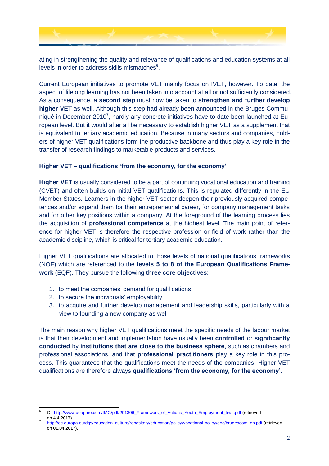

ating in strengthening the quality and relevance of qualifications and education systems at all levels in order to address skills mismatches $^6$ .

Current European initiatives to promote VET mainly focus on IVET, however. To date, the aspect of lifelong learning has not been taken into account at all or not sufficiently considered. As a consequence, a **second step** must now be taken to **strengthen and further develop higher VET** as well. Although this step had already been announced in the Bruges Communiqué in December 2010<sup>7</sup>, hardly any concrete initiatives have to date been launched at European level. But it would after all be necessary to establish higher VET as a supplement that is equivalent to tertiary academic education. Because in many sectors and companies, holders of higher VET qualifications form the productive backbone and thus play a key role in the transfer of research findings to marketable products and services.

#### **Higher VET – qualifications 'from the economy, for the economy'**

**Higher VET** is usually considered to be a part of continuing vocational education and training (CVET) and often builds on initial VET qualifications. This is regulated differently in the EU Member States. Learners in the higher VET sector deepen their previously acquired competences and/or expand them for their entrepreneurial career, for company management tasks and for other key positions within a company. At the foreground of the learning process lies the acquisition of **professional competence** at the highest level. The main point of reference for higher VET is therefore the respective profession or field of work rather than the academic discipline, which is critical for tertiary academic education.

Higher VET qualifications are allocated to those levels of national qualifications frameworks (NQF) which are referenced to the **levels 5 to 8 of the European Qualifications Framework** (EQF). They pursue the following **three core objectives**:

- 1. to meet the companies' demand for qualifications
- 2. to secure the individuals' employability
- 3. to acquire and further develop management and leadership skills, particularly with a view to founding a new company as well

The main reason why higher VET qualifications meet the specific needs of the labour market is that their development and implementation have usually been **controlled** or **significantly conducted** by **institutions that are close to the business sphere**, such as chambers and professional associations, and that **professional practitioners** play a key role in this process. This guarantees that the qualifications meet the needs of the companies. Higher VET qualifications are therefore always **qualifications 'from the economy, for the economy'**.

 $\epsilon$ Cf[. http://www.ueapme.com/IMG/pdf/201306\\_Framework\\_of\\_Actions\\_Youth\\_Employment\\_final.pdf](http://www.ueapme.com/IMG/pdf/201306_Framework_of_Actions_Youth_Employment_final.pdf) (retrieved on 4.4.2017).

<sup>7</sup> [http://ec.europa.eu/dgs/education\\_culture/repository/education/policy/vocational-policy/doc/brugescom\\_en.pdf](http://ec.europa.eu/dgs/education_culture/repository/education/policy/vocational-policy/doc/brugescom_en.pdf) (retrieved on 01.04.2017).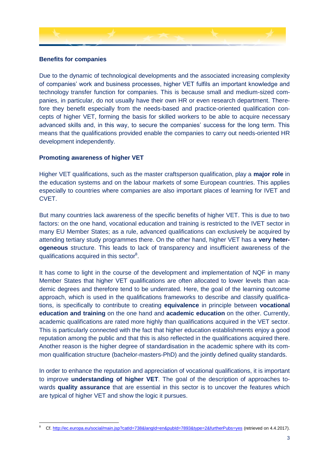

#### **Benefits for companies**

Due to the dynamic of technological developments and the associated increasing complexity of companies' work and business processes, higher VET fulfils an important knowledge and technology transfer function for companies. This is because small and medium-sized companies, in particular, do not usually have their own HR or even research department. Therefore they benefit especially from the needs-based and practice-oriented qualification concepts of higher VET, forming the basis for skilled workers to be able to acquire necessary advanced skills and, in this way, to secure the companies' success for the long term. This means that the qualifications provided enable the companies to carry out needs-oriented HR development independently.

#### **Promoting awareness of higher VET**

Higher VET qualifications, such as the master craftsperson qualification, play a **major role** in the education systems and on the labour markets of some European countries. This applies especially to countries where companies are also important places of learning for IVET and CVET.

But many countries lack awareness of the specific benefits of higher VET. This is due to two factors: on the one hand, vocational education and training is restricted to the IVET sector in many EU Member States; as a rule, advanced qualifications can exclusively be acquired by attending tertiary study programmes there. On the other hand, higher VET has a **very heterogeneous** structure. This leads to lack of transparency and insufficient awareness of the qualifications acquired in this sector<sup>8</sup>.

It has come to light in the course of the development and implementation of NQF in many Member States that higher VET qualifications are often allocated to lower levels than academic degrees and therefore tend to be underrated. Here, the goal of the learning outcome approach, which is used in the qualifications frameworks to describe and classify qualifications, is specifically to contribute to creating **equivalence** in principle between **vocational education and training** on the one hand and **academic education** on the other. Currently, academic qualifications are rated more highly than qualifications acquired in the VET sector. This is particularly connected with the fact that higher education establishments enjoy a good reputation among the public and that this is also reflected in the qualifications acquired there. Another reason is the higher degree of standardisation in the academic sphere with its common qualification structure (bachelor-masters-PhD) and the jointly defined quality standards.

In order to enhance the reputation and appreciation of vocational qualifications, it is important to improve **understanding of higher VET**. The goal of the description of approaches towards **quality assurance** that are essential in this sector is to uncover the features which are typical of higher VET and show the logic it pursues.

 $\overline{\phantom{a}}$ <sup>8</sup> Cf[. http://ec.europa.eu/social/main.jsp?catId=738&langId=en&pubId=7893&type=2&furtherPubs=yes](http://ec.europa.eu/social/main.jsp?catId=738&langId=en&pubId=7893&type=2&furtherPubs=yes) (retrieved on 4.4.2017).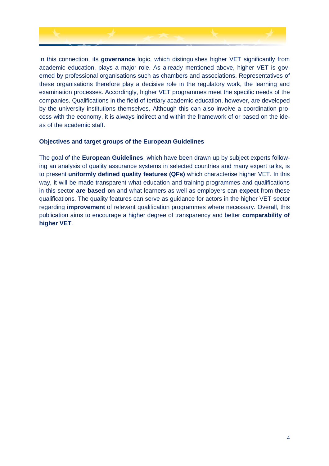

In this connection, its **governance** logic, which distinguishes higher VET significantly from academic education, plays a major role. As already mentioned above, higher VET is governed by professional organisations such as chambers and associations. Representatives of these organisations therefore play a decisive role in the regulatory work, the learning and examination processes. Accordingly, higher VET programmes meet the specific needs of the companies. Qualifications in the field of tertiary academic education, however, are developed by the university institutions themselves. Although this can also involve a coordination process with the economy, it is always indirect and within the framework of or based on the ideas of the academic staff.

#### **Objectives and target groups of the European Guidelines**

The goal of the **European Guidelines**, which have been drawn up by subject experts following an analysis of quality assurance systems in selected countries and many expert talks, is to present **uniformly defined quality features (QFs)** which characterise higher VET. In this way, it will be made transparent what education and training programmes and qualifications in this sector **are based on** and what learners as well as employers can **expect** from these qualifications. The quality features can serve as guidance for actors in the higher VET sector regarding **improvement** of relevant qualification programmes where necessary. Overall, this publication aims to encourage a higher degree of transparency and better **comparability of higher VET**.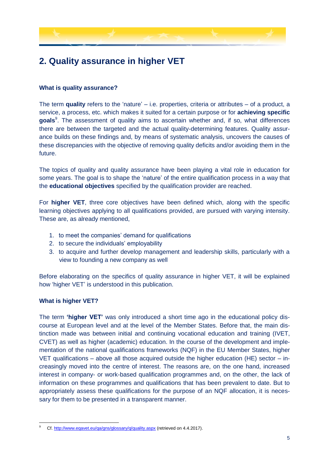

## <span id="page-10-0"></span>**2. Quality assurance in higher VET**

#### **What is quality assurance?**

The term **quality** refers to the 'nature' – i.e. properties, criteria or attributes – of a product, a service, a process, etc. which makes it suited for a certain purpose or for **achieving specific** goals<sup>9</sup>. The assessment of quality aims to ascertain whether and, if so, what differences there are between the targeted and the actual quality-determining features. Quality assurance builds on these findings and, by means of systematic analysis, uncovers the causes of these discrepancies with the objective of removing quality deficits and/or avoiding them in the future.

The topics of quality and quality assurance have been playing a vital role in education for some years. The goal is to shape the 'nature' of the entire qualification process in a way that the **educational objectives** specified by the qualification provider are reached.

For **higher VET**, three core objectives have been defined which, along with the specific learning objectives applying to all qualifications provided, are pursued with varying intensity. These are, as already mentioned,

- 1. to meet the companies' demand for qualifications
- 2. to secure the individuals' employability
- 3. to acquire and further develop management and leadership skills, particularly with a view to founding a new company as well

Before elaborating on the specifics of quality assurance in higher VET, it will be explained how 'higher VET' is understood in this publication.

#### **What is higher VET?**

The term **'higher VET'** was only introduced a short time ago in the educational policy discourse at European level and at the level of the Member States. Before that, the main distinction made was between initial and continuing vocational education and training (IVET, CVET) as well as higher (academic) education. In the course of the development and implementation of the national qualifications frameworks (NQF) in the EU Member States, higher VET qualifications – above all those acquired outside the higher education (HE) sector – increasingly moved into the centre of interest. The reasons are, on the one hand, increased interest in company- or work-based qualification programmes and, on the other, the lack of information on these programmes and qualifications that has been prevalent to date. But to appropriately assess these qualifications for the purpose of an NQF allocation, it is necessary for them to be presented in a transparent manner.

 $\overline{\phantom{a}}$ Cf[. http://www.eqavet.eu/qa/gns/glossary/q/quality.aspx](http://www.eqavet.eu/qa/gns/glossary/q/quality.aspx) (retrieved on 4.4.2017).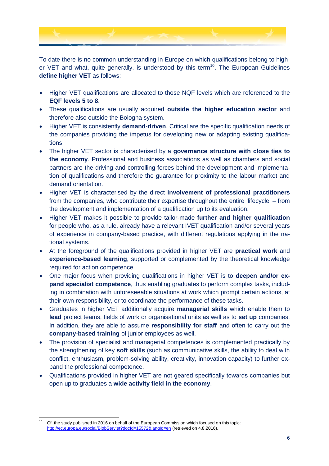

To date there is no common understanding in Europe on which qualifications belong to higher VET and what, quite generally, is understood by this term<sup>10</sup>. The European Guidelines **define higher VET** as follows:

- Higher VET qualifications are allocated to those NQF levels which are referenced to the **EQF levels 5 to 8**.
- These qualifications are usually acquired **outside the higher education sector** and therefore also outside the Bologna system.
- Higher VET is consistently **demand-driven**. Critical are the specific qualification needs of the companies providing the impetus for developing new or adapting existing qualifications.
- The higher VET sector is characterised by a **governance structure with close ties to the economy**. Professional and business associations as well as chambers and social partners are the driving and controlling forces behind the development and implementation of qualifications and therefore the guarantee for proximity to the labour market and demand orientation.
- Higher VET is characterised by the direct **involvement of professional practitioners** from the companies, who contribute their expertise throughout the entire 'lifecycle' – from the development and implementation of a qualification up to its evaluation.
- Higher VET makes it possible to provide tailor-made **further and higher qualification** for people who, as a rule, already have a relevant IVET qualification and/or several years of experience in company-based practice, with different regulations applying in the national systems.
- At the foreground of the qualifications provided in higher VET are **practical work** and **experience-based learning**, supported or complemented by the theoretical knowledge required for action competence.
- One major focus when providing qualifications in higher VET is to **deepen and/or expand specialist competence**, thus enabling graduates to perform complex tasks, including in combination with unforeseeable situations at work which prompt certain actions, at their own responsibility, or to coordinate the performance of these tasks.
- Graduates in higher VET additionally acquire **managerial skills** which enable them to **lead** project teams, fields of work or organisational units as well as to **set up** companies. In addition, they are able to assume **responsibility for staff** and often to carry out the **company-based training** of junior employees as well.
- The provision of specialist and managerial competences is complemented practically by the strengthening of key **soft skills** (such as communicative skills, the ability to deal with conflict, enthusiasm, problem-solving ability, creativity, innovation capacity) to further expand the professional competence.
- Qualifications provided in higher VET are not geared specifically towards companies but open up to graduates a **wide activity field in the economy**.

 $\overline{\phantom{a}}$ Cf. the study published in 2016 on behalf of the European Commission which focused on this topic: <http://ec.europa.eu/social/BlobServlet?docId=15572&langId=en> (retrieved on 4.8.2016).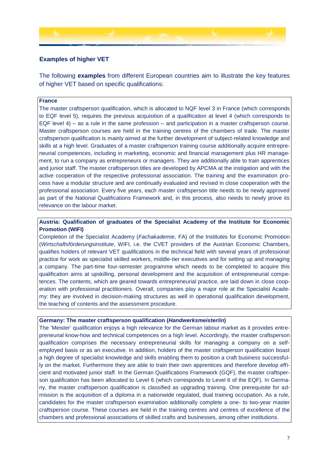

#### **Examples of higher VET**

The following **examples** from different European countries aim to illustrate the key features of higher VET based on specific qualifications:

#### **France**

The master craftsperson qualification, which is allocated to NQF level 3 in France (which corresponds to EQF level 5), requires the previous acquisition of a qualification at level 4 (which corresponds to EQF level  $4$ ) – as a rule in the same profession – and participation in a master craftsperson course. Master craftsperson courses are held in the training centres of the chambers of trade. The master craftsperson qualification is mainly aimed at the further development of subject-related knowledge and skills at a high level. Graduates of a master craftsperson training course additionally acquire entrepreneurial competences, including in marketing, economic and financial management plus HR management, to run a company as entrepreneurs or managers. They are additionally able to train apprentices and junior staff. The master craftsperson titles are developed by APCMA at the instigation and with the active cooperation of the respective professional association. The training and the examination process have a modular structure and are continually evaluated and revised in close cooperation with the professional association. Every five years, each master craftsperson title needs to be newly approved as part of the National Qualifications Framework and, in this process, also needs to newly prove its relevance on the labour market.

#### **Austria: Qualification of graduates of the Specialist Academy of the Institute for Economic Promotion (WIFI)**

Completion of the Specialist Academy (*Fachakademie*, FA) of the Institutes for Economic Promotion (*Wirtschaftsförderungsinstitute*, WIFI, i.e. the CVET providers of the Austrian Economic Chambers, qualifies holders of relevant VET qualifications in the technical field with several years of professional practice for work as specialist skilled workers, middle-tier executives and for setting up and managing a company. The part-time four-semester programme which needs to be completed to acquire this qualification aims at upskilling, personal development and the acquisition of entrepreneurial competences. The contents, which are geared towards entrepreneurial practice, are laid down in close cooperation with professional practitioners. Overall, companies play a major role at the Specialist Academy: they are involved in decision-making structures as well in operational qualification development, the teaching of contents and the assessment procedure.

#### **Germany: The master craftsperson qualification (***Handwerksmeister/in***)**

The 'Meister' qualification enjoys a high relevance for the German labour market as it provides entrepreneurial know-how and technical competences on a high level. Accordingly, the master craftsperson qualification comprises the necessary entrepreneurial skills for managing a company on a selfemployed basis or as an executive. In addition, holders of the master craftsperson qualification boast a high degree of specialist knowledge and skills enabling them to position a craft business successfully on the market. Furthermore they are able to train their own apprentices and therefore develop efficient and motivated junior staff. In the German Qualifications Framework (GQF), the master craftsperson qualification has been allocated to Level 6 (which corresponds to Level 6 of the EQF). In Germany, the master craftsperson qualification is classified as upgrading training. One prerequisite for admission is the acquisition of a diploma in a nationwide regulated, dual training occupation. As a rule, candidates for the master craftsperson examination additionally complete a one- to two-year master craftsperson course. These courses are held in the training centres and centres of excellence of the chambers and professional associations of skilled crafts and businesses, among other institutions.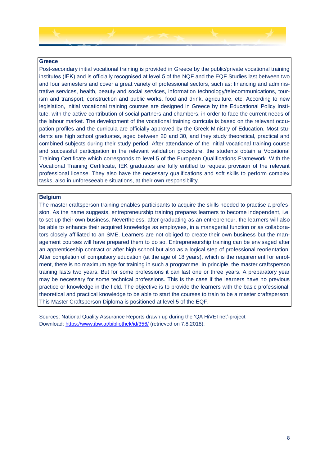

#### **Greece**

Post-secondary initial vocational training is provided in Greece by the public/private vocational training institutes (ΙΕΚ) and is officially recognised at level 5 of the NQF and the EQF Studies last between two and four semesters and cover a great variety of professional sectors, such as: financing and administrative services, health, beauty and social services, information technology/telecommunications, tourism and transport, construction and public works, food and drink, agriculture, etc. According to new legislation, initial vocational training courses are designed in Greece by the Educational Policy Institute, with the active contribution of social partners and chambers, in order to face the current needs of the labour market. The development of the vocational training curricula is based on the relevant occupation profiles and the curricula are officially approved by the Greek Ministry of Education. Most students are high school graduates, aged between 20 and 30, and they study theoretical, practical and combined subjects during their study period. After attendance of the initial vocational training course and successful participation in the relevant validation procedure, the students obtain a Vocational Training Certificate which corresponds to level 5 of the European Qualifications Framework. With the Vocational Training Certificate, IEK graduates are fully entitled to request provision of the relevant professional license. They also have the necessary qualifications and soft skills to perform complex tasks, also in unforeseeable situations, at their own responsibility.

#### **Belgium**

The master craftsperson training enables participants to acquire the skills needed to practise a profession. As the name suggests, entrepreneurship training prepares learners to become independent, i.e. to set up their own business. Nevertheless, after graduating as an entrepreneur, the learners will also be able to enhance their acquired knowledge as employees, in a managerial function or as collaborators closely affiliated to an SME. Learners are not obliged to create their own business but the management courses will have prepared them to do so. Entrepreneurship training can be envisaged after an apprenticeship contract or after high school but also as a logical step of professional reorientation. After completion of compulsory education (at the age of 18 years), which is the requirement for enrolment, there is no maximum age for training in such a programme. In principle, the master craftsperson training lasts two years. But for some professions it can last one or three years. A preparatory year may be necessary for some technical professions. This is the case if the learners have no previous practice or knowledge in the field. The objective is to provide the learners with the basic professional, theoretical and practical knowledge to be able to start the courses to train to be a master craftsperson. This Master Craftsperson Diploma is positioned at level 5 of the EQF.

Sources: National Quality Assurance Reports drawn up during the 'QA HiVETnet'-project Download: <https://www.ibw.at/bibliothek/id/356/> (retrieved on 7.8.2018).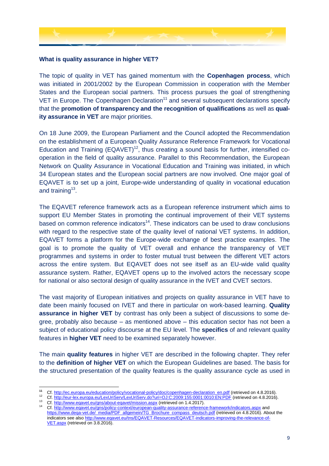

#### **What is quality assurance in higher VET?**

The topic of quality in VET has gained momentum with the **Copenhagen process**, which was initiated in 2001/2002 by the European Commission in cooperation with the Member States and the European social partners. This process pursues the goal of strengthening VET in Europe. The Copenhagen Declaration<sup>11</sup> and several subsequent declarations specify that the **promotion of transparency and the recognition of qualifications** as well as **quality assurance in VET** are major priorities.

On 18 June 2009, the European Parliament and the Council adopted the Recommendation on the establishment of a European Quality Assurance Reference Framework for Vocational Education and Training (EQAVET)<sup>12</sup>, thus creating a sound basis for further, intensified cooperation in the field of quality assurance. Parallel to this Recommendation, the European Network on Quality Assurance in Vocational Education and Training was initiated, in which 34 European states and the European social partners are now involved. One major goal of EQAVET is to set up a joint, Europe-wide understanding of quality in vocational education and training<sup>13</sup>.

The EQAVET reference framework acts as a European reference instrument which aims to support EU Member States in promoting the continual improvement of their VET systems based on common reference indicators<sup>14</sup>. These indicators can be used to draw conclusions with regard to the respective state of the quality level of national VET systems. In addition, EQAVET forms a platform for the Europe-wide exchange of best practice examples. The goal is to promote the quality of VET overall and enhance the transparency of VET programmes and systems in order to foster mutual trust between the different VET actors across the entire system. But EQAVET does not see itself as an EU-wide valid quality assurance system. Rather, EQAVET opens up to the involved actors the necessary scope for national or also sectoral design of quality assurance in the IVET and CVET sectors.

The vast majority of European initiatives and projects on quality assurance in VET have to date been mainly focused on IVET and there in particular on work-based learning. **Quality assurance in higher VET** by contrast has only been a subject of discussions to some degree, probably also because – as mentioned above – this education sector has not been a subject of educational policy discourse at the EU level. The **specifics** of and relevant quality features in **higher VET** need to be examined separately however.

The main **quality features** in higher VET are described in the following chapter. They refer to the **definition of higher VET** on which the European Guidelines are based. The basis for the structured presentation of the quality features is the quality assurance cycle as used in

 $11$ <sup>11</sup> Cf[. http://ec.europa.eu/education/policy/vocational-policy/doc/copenhagen-declaration\\_en.pdf](http://ec.europa.eu/education/policy/vocational-policy/doc/copenhagen-declaration_en.pdf) (retrieved on 4.8.2016).<br><sup>12</sup> Cf. http://eur.lev.europe.eu/Levi biSen/Levi biSen/de2uri. O.I.C:2000:455:0004:0040:EN:DDE (re

<sup>&</sup>lt;sup>12</sup> Cf[. http://eur-lex.europa.eu/LexUriServ/LexUriServ.do?uri=OJ:C:2009:155:0001:0010:EN:PDF](http://eur-lex.europa.eu/LexUriServ/LexUriServ.do?uri=OJ:C:2009:155:0001:0010:EN:PDF) (retrieved on 4.8.2016).

<sup>&</sup>lt;sup>13</sup> Cf[. http://www.eqavet.eu/gns/about-eqavet/mission.aspx](http://www.eqavet.eu/gns/about-eqavet/mission.aspx) (retrieved on 1.4.2017).

Cf[. http://www.eqavet.eu/gns/policy-context/european-quality-assurance-reference-framework/indicators.aspx](http://www.eqavet.eu/gns/policy-context/european-quality-assurance-reference-framework/indicators.aspx) and [https://www.deqa-vet.de/\\_media/PDF\\_allgemein/TG\\_Brochure\\_compass\\_deutsch.pdf](https://www.deqa-vet.de/_media/PDF_allgemein/TG_Brochure_compass_deutsch.pdf) (retrieved on 4.8.2016). About the indicators see als[o http://www.eqavet.eu/tns/EQAVET-Resources/EQAVET-indicators-improving-the-relevance-of-](http://www.eqavet.eu/tns/EQAVET-Resources/EQAVET-indicators-improving-the-relevance-of-%09VET.aspx)[VET.aspx](http://www.eqavet.eu/tns/EQAVET-Resources/EQAVET-indicators-improving-the-relevance-of-%09VET.aspx) (retrieved on 3.8.2016).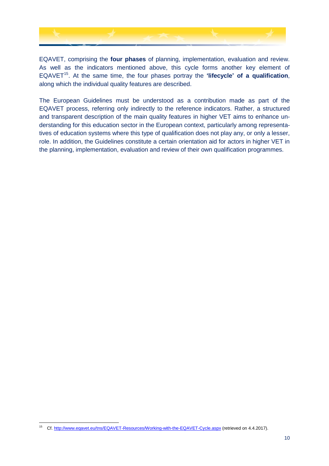

EQAVET, comprising the **four phases** of planning, implementation, evaluation and review. As well as the indicators mentioned above, this cycle forms another key element of EQAVET<sup>15</sup>. At the same time, the four phases portray the **'lifecycle' of a qualification**, along which the individual quality features are described.

The European Guidelines must be understood as a contribution made as part of the EQAVET process, referring only indirectly to the reference indicators. Rather, a structured and transparent description of the main quality features in higher VET aims to enhance understanding for this education sector in the European context, particularly among representatives of education systems where this type of qualification does not play any, or only a lesser, role. In addition, the Guidelines constitute a certain orientation aid for actors in higher VET in the planning, implementation, evaluation and review of their own qualification programmes.

 $\overline{\phantom{a}}$ <sup>15</sup> Cf[. http://www.eqavet.eu/tns/EQAVET-Resources/Working-with-the-EQAVET-Cycle.aspx](http://www.eqavet.eu/tns/EQAVET-Resources/Working-with-the-EQAVET-Cycle.aspx) (retrieved on 4.4.2017).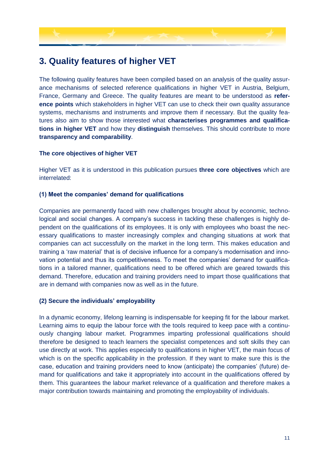

## <span id="page-16-0"></span>**3. Quality features of higher VET**

The following quality features have been compiled based on an analysis of the quality assurance mechanisms of selected reference qualifications in higher VET in Austria, Belgium, France, Germany and Greece. The quality features are meant to be understood as **reference points** which stakeholders in higher VET can use to check their own quality assurance systems, mechanisms and instruments and improve them if necessary. But the quality features also aim to show those interested what **characterises programmes and qualifications in higher VET** and how they **distinguish** themselves. This should contribute to more **transparency and comparability**.

#### <span id="page-16-1"></span>**The core objectives of higher VET**

Higher VET as it is understood in this publication pursues **three core objectives** which are interrelated:

#### **(1) Meet the companies' demand for qualifications**

Companies are permanently faced with new challenges brought about by economic, technological and social changes. A company's success in tackling these challenges is highly dependent on the qualifications of its employees. It is only with employees who boast the necessary qualifications to master increasingly complex and changing situations at work that companies can act successfully on the market in the long term. This makes education and training a 'raw material' that is of decisive influence for a company's modernisation and innovation potential and thus its competitiveness. To meet the companies' demand for qualifications in a tailored manner, qualifications need to be offered which are geared towards this demand. Therefore, education and training providers need to impart those qualifications that are in demand with companies now as well as in the future.

#### **(2) Secure the individuals' employability**

In a dynamic economy, lifelong learning is indispensable for keeping fit for the labour market. Learning aims to equip the labour force with the tools required to keep pace with a continuously changing labour market. Programmes imparting professional qualifications should therefore be designed to teach learners the specialist competences and soft skills they can use directly at work. This applies especially to qualifications in higher VET, the main focus of which is on the specific applicability in the profession. If they want to make sure this is the case, education and training providers need to know (anticipate) the companies' (future) demand for qualifications and take it appropriately into account in the qualifications offered by them. This guarantees the labour market relevance of a qualification and therefore makes a major contribution towards maintaining and promoting the employability of individuals.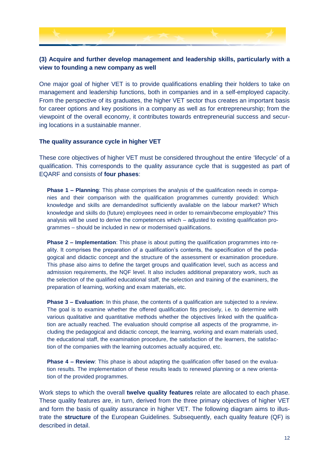

#### **(3) Acquire and further develop management and leadership skills, particularly with a view to founding a new company as well**

One major goal of higher VET is to provide qualifications enabling their holders to take on management and leadership functions, both in companies and in a self-employed capacity. From the perspective of its graduates, the higher VET sector thus creates an important basis for career options and key positions in a company as well as for entrepreneurship; from the viewpoint of the overall economy, it contributes towards entrepreneurial success and securing locations in a sustainable manner.

#### **The quality assurance cycle in higher VET**

These core objectives of higher VET must be considered throughout the entire 'lifecycle' of a qualification. This corresponds to the quality assurance cycle that is suggested as part of EQARF and consists of **four phases**:

**Phase 1 – Planning**: This phase comprises the analysis of the qualification needs in companies and their comparison with the qualification programmes currently provided: Which knowledge and skills are demanded/not sufficiently available on the labour market? Which knowledge and skills do (future) employees need in order to remain/become employable? This analysis will be used to derive the competences which – adjusted to existing qualification programmes – should be included in new or modernised qualifications.

**Phase 2 – Implementation**: This phase is about putting the qualification programmes into reality. It comprises the preparation of a qualification's contents, the specification of the pedagogical and didactic concept and the structure of the assessment or examination procedure. This phase also aims to define the target groups and qualification level, such as access and admission requirements, the NQF level. It also includes additional preparatory work, such as the selection of the qualified educational staff, the selection and training of the examiners, the preparation of learning, working and exam materials, etc.

**Phase 3 – Evaluation**: In this phase, the contents of a qualification are subjected to a review. The goal is to examine whether the offered qualification fits precisely, i.e. to determine with various qualitative and quantitative methods whether the objectives linked with the qualification are actually reached. The evaluation should comprise all aspects of the programme, including the pedagogical and didactic concept, the learning, working and exam materials used, the educational staff, the examination procedure, the satisfaction of the learners, the satisfaction of the companies with the learning outcomes actually acquired, etc.

**Phase 4 – Review**: This phase is about adapting the qualification offer based on the evaluation results. The implementation of these results leads to renewed planning or a new orientation of the provided programmes.

Work steps to which the overall **twelve quality features** relate are allocated to each phase. These quality features are, in turn, derived from the three primary objectives of higher VET and form the basis of quality assurance in higher VET. The following diagram aims to illustrate the **structure** of the European Guidelines. Subsequently, each quality feature (QF) is described in detail.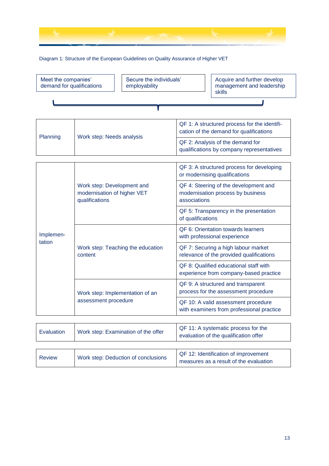

Diagram 1: Structure of the European Guidelines on Quality Assurance of Higher VET

| Meet the companies'<br>Secure the individuals'<br>demand for qualifications<br>employability |                                                                             |                                     | Acquire and further develop<br>management and leadership<br>skills                         |                                                                            |
|----------------------------------------------------------------------------------------------|-----------------------------------------------------------------------------|-------------------------------------|--------------------------------------------------------------------------------------------|----------------------------------------------------------------------------|
|                                                                                              |                                                                             |                                     |                                                                                            |                                                                            |
|                                                                                              |                                                                             |                                     |                                                                                            |                                                                            |
| Planning                                                                                     | Work step: Needs analysis                                                   |                                     | QF 1: A structured process for the identifi-<br>cation of the demand for qualifications    |                                                                            |
|                                                                                              |                                                                             |                                     | QF 2: Analysis of the demand for<br>qualifications by company representatives              |                                                                            |
| Implemen-<br>tation                                                                          | Work step: Development and<br>modernisation of higher VET<br>qualifications |                                     |                                                                                            | QF 3: A structured process for developing<br>or modernising qualifications |
|                                                                                              |                                                                             |                                     | QF 4: Steering of the development and<br>modernisation process by business<br>associations |                                                                            |
|                                                                                              |                                                                             |                                     | QF 5: Transparency in the presentation<br>of qualifications                                |                                                                            |
|                                                                                              | Work step: Teaching the education<br>content                                |                                     | QF 6: Orientation towards learners<br>with professional experience                         |                                                                            |
|                                                                                              |                                                                             |                                     | QF 7: Securing a high labour market<br>relevance of the provided qualifications            |                                                                            |
|                                                                                              |                                                                             |                                     | QF 8: Qualified educational staff with<br>experience from company-based practice           |                                                                            |
|                                                                                              | Work step: Implementation of an                                             |                                     | QF 9: A structured and transparent<br>process for the assessment procedure                 |                                                                            |
|                                                                                              | assessment procedure                                                        |                                     | QF 10: A valid assessment procedure<br>with examiners from professional practice           |                                                                            |
|                                                                                              |                                                                             |                                     |                                                                                            | QF 11: A systematic process for the                                        |
| Evaluation                                                                                   |                                                                             | Work step: Examination of the offer |                                                                                            | evaluation of the qualification offer                                      |

| Review | Work step: Deduction of conclusions | QF 12: Identification of improvement<br>measures as a result of the evaluation |
|--------|-------------------------------------|--------------------------------------------------------------------------------|
|--------|-------------------------------------|--------------------------------------------------------------------------------|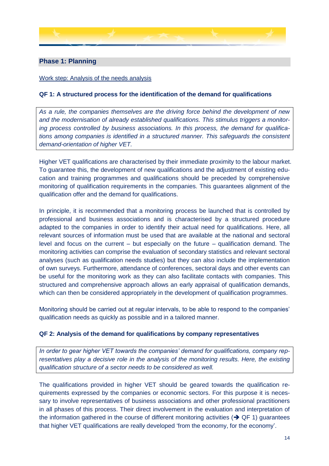

#### <span id="page-19-0"></span>**Phase 1: Planning**

#### Work step: Analysis of the needs analysis

#### **QF 1: A structured process for the identification of the demand for qualifications**

*As a rule, the companies themselves are the driving force behind the development of new and the modernisation of already established qualifications. This stimulus triggers a monitoring process controlled by business associations. In this process, the demand for qualifications among companies is identified in a structured manner. This safeguards the consistent demand-orientation of higher VET.*

Higher VET qualifications are characterised by their immediate proximity to the labour market. To guarantee this, the development of new qualifications and the adjustment of existing education and training programmes and qualifications should be preceded by comprehensive monitoring of qualification requirements in the companies. This guarantees alignment of the qualification offer and the demand for qualifications.

In principle, it is recommended that a monitoring process be launched that is controlled by professional and business associations and is characterised by a structured procedure adapted to the companies in order to identify their actual need for qualifications. Here, all relevant sources of information must be used that are available at the national and sectoral level and focus on the current – but especially on the future – qualification demand. The monitoring activities can comprise the evaluation of secondary statistics and relevant sectoral analyses (such as qualification needs studies) but they can also include the implementation of own surveys. Furthermore, attendance of conferences, sectoral days and other events can be useful for the monitoring work as they can also facilitate contacts with companies. This structured and comprehensive approach allows an early appraisal of qualification demands, which can then be considered appropriately in the development of qualification programmes.

Monitoring should be carried out at regular intervals, to be able to respond to the companies' qualification needs as quickly as possible and in a tailored manner.

#### **QF 2: Analysis of the demand for qualifications by company representatives**

*In order to gear higher VET towards the companies' demand for qualifications, company representatives play a decisive role in the analysis of the monitoring results. Here, the existing qualification structure of a sector needs to be considered as well.*

The qualifications provided in higher VET should be geared towards the qualification requirements expressed by the companies or economic sectors. For this purpose it is necessary to involve representatives of business associations and other professional practitioners in all phases of this process. Their direct involvement in the evaluation and interpretation of the information gathered in the course of different monitoring activities  $(\rightarrow$  QF 1) guarantees that higher VET qualifications are really developed 'from the economy, for the economy'.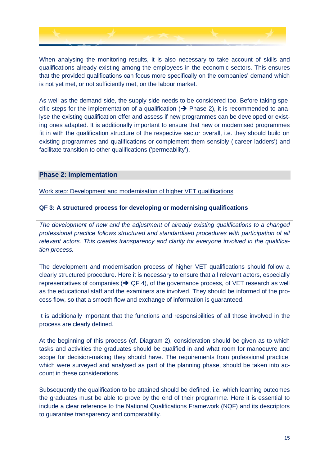

When analysing the monitoring results, it is also necessary to take account of skills and qualifications already existing among the employees in the economic sectors. This ensures that the provided qualifications can focus more specifically on the companies' demand which is not yet met, or not sufficiently met, on the labour market.

As well as the demand side, the supply side needs to be considered too. Before taking specific steps for the implementation of a qualification  $($  $\rightarrow$  Phase 2), it is recommended to analyse the existing qualification offer and assess if new programmes can be developed or existing ones adapted. It is additionally important to ensure that new or modernised programmes fit in with the qualification structure of the respective sector overall, i.e. they should build on existing programmes and qualifications or complement them sensibly ('career ladders') and facilitate transition to other qualifications ('permeability').

#### <span id="page-20-0"></span>**Phase 2: Implementation**

Work step: Development and modernisation of higher VET qualifications

#### **QF 3: A structured process for developing or modernising qualifications**

*The development of new and the adjustment of already existing qualifications to a changed professional practice follows structured and standardised procedures with participation of all relevant actors. This creates transparency and clarity for everyone involved in the qualification process.*

The development and modernisation process of higher VET qualifications should follow a clearly structured procedure. Here it is necessary to ensure that all relevant actors, especially representatives of companies  $(\rightarrow QF 4)$ , of the governance process, of VET research as well as the educational staff and the examiners are involved. They should be informed of the process flow, so that a smooth flow and exchange of information is guaranteed.

It is additionally important that the functions and responsibilities of all those involved in the process are clearly defined.

At the beginning of this process (cf. Diagram 2), consideration should be given as to which tasks and activities the graduates should be qualified in and what room for manoeuvre and scope for decision-making they should have. The requirements from professional practice, which were surveyed and analysed as part of the planning phase, should be taken into account in these considerations.

Subsequently the qualification to be attained should be defined, i.e. which learning outcomes the graduates must be able to prove by the end of their programme. Here it is essential to include a clear reference to the National Qualifications Framework (NQF) and its descriptors to guarantee transparency and comparability.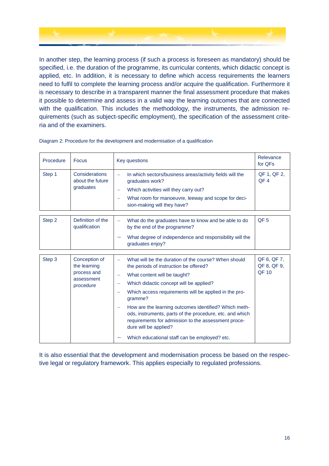

In another step, the learning process (if such a process is foreseen as mandatory) should be specified, i.e. the duration of the programme, its curricular contents, which didactic concept is applied, etc. In addition, it is necessary to define which access requirements the learners need to fulfil to complete the learning process and/or acquire the qualification. Furthermore it is necessary to describe in a transparent manner the final assessment procedure that makes it possible to determine and assess in a valid way the learning outcomes that are connected with the qualification. This includes the methodology, the instruments, the admission requirements (such as subject-specific employment), the specification of the assessment criteria and of the examiners.

| Procedure | Focus                                                                   | Key questions                                                                                                                                                                                                                                                                                                                                                                                                                                                                                                                                                  | Relevance<br>for QFs                       |
|-----------|-------------------------------------------------------------------------|----------------------------------------------------------------------------------------------------------------------------------------------------------------------------------------------------------------------------------------------------------------------------------------------------------------------------------------------------------------------------------------------------------------------------------------------------------------------------------------------------------------------------------------------------------------|--------------------------------------------|
| Step 1    | <b>Considerations</b><br>about the future<br>graduates                  | In which sectors/business areas/activity fields will the<br>$\qquad \qquad -$<br>graduates work?<br>Which activities will they carry out?<br>What room for manoeuvre, leeway and scope for deci-<br>$\overline{\phantom{0}}$<br>sion-making will they have?                                                                                                                                                                                                                                                                                                    | QF 1, QF 2,<br>QF4                         |
| Step 2    | Definition of the<br>qualification                                      | What do the graduates have to know and be able to do<br>by the end of the programme?<br>What degree of independence and responsibility will the<br>graduates enjoy?                                                                                                                                                                                                                                                                                                                                                                                            | QF <sub>5</sub>                            |
| Step 3    | Conception of<br>the learning<br>process and<br>assessment<br>procedure | What will be the duration of the course? When should<br>the periods of instruction be offered?<br>What content will be taught?<br>$\qquad \qquad -$<br>Which didactic concept will be applied?<br>$\overline{\phantom{0}}$<br>Which access requirements will be applied in the pro-<br>-<br>qramme?<br>How are the learning outcomes identified? Which meth-<br>-<br>ods, instruments, parts of the procedure, etc. and which<br>requirements for admission to the assessment proce-<br>dure will be applied?<br>Which educational staff can be employed? etc. | QF 6, QF 7,<br>QF 8, QF 9,<br><b>QF 10</b> |

Diagram 2: Procedure for the development and modernisation of a qualification

It is also essential that the development and modernisation process be based on the respective legal or regulatory framework. This applies especially to regulated professions.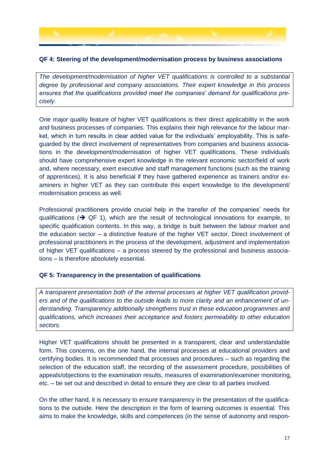

#### **QF 4: Steering of the development/modernisation process by business associations**

*The development/modernisation of higher VET qualifications is controlled to a substantial degree by professional and company associations. Their expert knowledge in this process ensures that the qualifications provided meet the companies' demand for qualifications precisely.*

One major quality feature of higher VET qualifications is their direct applicability in the work and business processes of companies. This explains their high relevance for the labour market, which in turn results in clear added value for the individuals' employability. This is safeguarded by the direct involvement of representatives from companies and business associations in the development/modernisation of higher VET qualifications. These individuals should have comprehensive expert knowledge in the relevant economic sector/field of work and, where necessary, exert executive and staff management functions (such as the training of apprentices). It is also beneficial if they have gathered experience as trainers and/or examiners in higher VET as they can contribute this expert knowledge to the development/ modernisation process as well.

Professional practitioners provide crucial help in the transfer of the companies' needs for qualifications ( $\rightarrow$  QF 1), which are the result of technological innovations for example, to specific qualification contents. In this way, a bridge is built between the labour market and the education sector – a distinctive feature of the higher VET sector. Direct involvement of professional practitioners in the process of the development, adjustment and implementation of higher VET qualifications – a process steered by the professional and business associations – is therefore absolutely essential.

#### **QF 5: Transparency in the presentation of qualifications**

*A transparent presentation both of the internal processes at higher VET qualification providers and of the qualifications to the outside leads to more clarity and an enhancement of understanding. Transparency additionally strengthens trust in these education programmes and qualifications, which increases their acceptance and fosters permeability to other education sectors.*

Higher VET qualifications should be presented in a transparent, clear and understandable form. This concerns, on the one hand, the internal processes at educational providers and certifying bodies. It is recommended that processes and procedures – such as regarding the selection of the education staff, the recording of the assessment procedure, possibilities of appeals/objections to the examination results, measures of examination/examiner monitoring, etc. – be set out and described in detail to ensure they are clear to all parties involved.

On the other hand, it is necessary to ensure transparency in the presentation of the qualifications to the outside. Here the description in the form of learning outcomes is essential. This aims to make the knowledge, skills and competences (in the sense of autonomy and respon-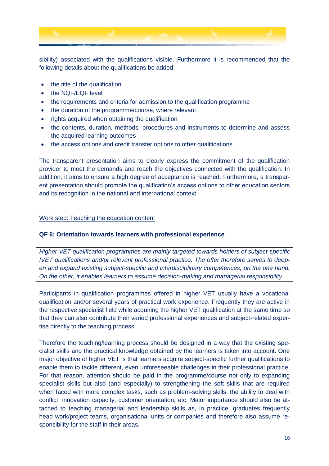

sibility) associated with the qualifications visible. Furthermore it is recommended that the following details about the qualifications be added:

- the title of the qualification
- the NQF/EQF level
- the requirements and criteria for admission to the qualification programme
- the duration of the programme/course, where relevant
- rights acquired when obtaining the qualification
- the contents, duration, methods, procedures and instruments to determine and assess the acquired learning outcomes
- the access options and credit transfer options to other qualifications

The transparent presentation aims to clearly express the commitment of the qualification provider to meet the demands and reach the objectives connected with the qualification. In addition, it aims to ensure a high degree of acceptance is reached. Furthermore, a transparent presentation should promote the qualification's access options to other education sectors and its recognition in the national and international context.

#### Work step: Teaching the education content

#### **QF 6: Orientation towards learners with professional experience**

*Higher VET qualification programmes are mainly targeted towards holders of subject-specific IVET qualifications and/or relevant professional practice. The offer therefore serves to deepen and expand existing subject-specific and interdisciplinary competences, on the one hand. On the other, it enables learners to assume decision-making and managerial responsibility.*

Participants in qualification programmes offered in higher VET usually have a vocational qualification and/or several years of practical work experience. Frequently they are active in the respective specialist field while acquiring the higher VET qualification at the same time so that they can also contribute their varied professional experiences and subject-related expertise directly to the teaching process.

Therefore the teaching/learning process should be designed in a way that the existing specialist skills and the practical knowledge obtained by the learners is taken into account. One major objective of higher VET is that learners acquire subject-specific further qualifications to enable them to tackle different, even unforeseeable challenges in their professional practice. For that reason, attention should be paid in the programme/course not only to expanding specialist skills but also (and especially) to strengthening the soft skills that are required when faced with more complex tasks, such as problem-solving skills, the ability to deal with conflict, innovation capacity, customer orientation, etc. Major importance should also be attached to teaching managerial and leadership skills as, in practice, graduates frequently head work/project teams, organisational units or companies and therefore also assume responsibility for the staff in their areas.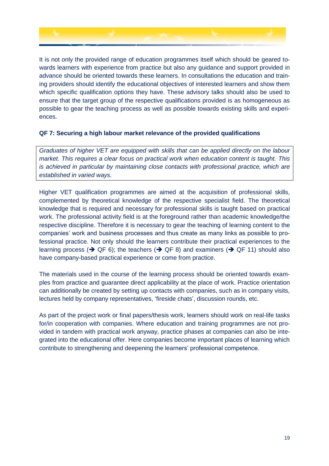

It is not only the provided range of education programmes itself which should be geared towards learners with experience from practice but also any guidance and support provided in advance should be oriented towards these learners. In consultations the education and training providers should identify the educational objectives of interested learners and show them which specific qualification options they have. These advisory talks should also be used to ensure that the target group of the respective qualifications provided is as homogeneous as possible to gear the teaching process as well as possible towards existing skills and experiences.

#### **QF 7: Securing a high labour market relevance of the provided qualifications**

*Graduates of higher VET are equipped with skills that can be applied directly on the labour market. This requires a clear focus on practical work when education content is taught. This is achieved in particular by maintaining close contacts with professional practice, which are established in varied ways.*

Higher VET qualification programmes are aimed at the acquisition of professional skills, complemented by theoretical knowledge of the respective specialist field. The theoretical knowledge that is required and necessary for professional skills is taught based on practical work. The professional activity field is at the foreground rather than academic knowledge/the respective discipline. Therefore it is necessary to gear the teaching of learning content to the companies' work and business processes and thus create as many links as possible to professional practice. Not only should the learners contribute their practical experiences to the learning process ( $\rightarrow$  QF 6); the teachers ( $\rightarrow$  QF 8) and examiners ( $\rightarrow$  QF 11) should also have company-based practical experience or come from practice.

The materials used in the course of the learning process should be oriented towards examples from practice and guarantee direct applicability at the place of work. Practice orientation can additionally be created by setting up contacts with companies, such as in company visits, lectures held by company representatives, 'fireside chats', discussion rounds, etc.

As part of the project work or final papers/thesis work, learners should work on real-life tasks for/in cooperation with companies. Where education and training programmes are not provided in tandem with practical work anyway, practice phases at companies can also be integrated into the educational offer. Here companies become important places of learning which contribute to strengthening and deepening the learners' professional competence.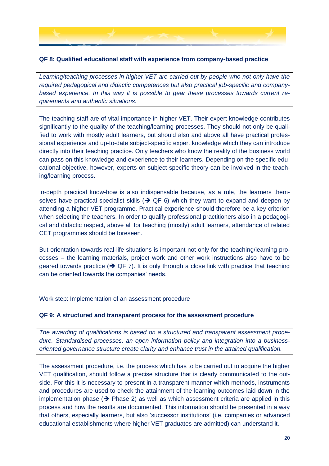

#### **QF 8: Qualified educational staff with experience from company-based practice**

*Learning/teaching processes in higher VET are carried out by people who not only have the required pedagogical and didactic competences but also practical job-specific and companybased experience. In this way it is possible to gear these processes towards current requirements and authentic situations.*

The teaching staff are of vital importance in higher VET. Their expert knowledge contributes significantly to the quality of the teaching/learning processes. They should not only be qualified to work with mostly adult learners, but should also and above all have practical professional experience and up-to-date subject-specific expert knowledge which they can introduce directly into their teaching practice. Only teachers who know the reality of the business world can pass on this knowledge and experience to their learners. Depending on the specific educational objective, however, experts on subject-specific theory can be involved in the teaching/learning process.

In-depth practical know-how is also indispensable because, as a rule, the learners themselves have practical specialist skills  $(\rightarrow QF 6)$  which they want to expand and deepen by attending a higher VET programme. Practical experience should therefore be a key criterion when selecting the teachers. In order to qualify professional practitioners also in a pedagogical and didactic respect, above all for teaching (mostly) adult learners, attendance of related CET programmes should be foreseen.

But orientation towards real-life situations is important not only for the teaching/learning processes – the learning materials, project work and other work instructions also have to be geared towards practice ( $\rightarrow$  QF 7). It is only through a close link with practice that teaching can be oriented towards the companies' needs.

#### Work step: Implementation of an assessment procedure

#### **QF 9: A structured and transparent process for the assessment procedure**

*The awarding of qualifications is based on a structured and transparent assessment procedure. Standardised processes, an open information policy and integration into a businessoriented governance structure create clarity and enhance trust in the attained qualification.*

The assessment procedure, i.e. the process which has to be carried out to acquire the higher VET qualification, should follow a precise structure that is clearly communicated to the outside. For this it is necessary to present in a transparent manner which methods, instruments and procedures are used to check the attainment of the learning outcomes laid down in the implementation phase  $($   $\rightarrow$  Phase 2) as well as which assessment criteria are applied in this process and how the results are documented. This information should be presented in a way that others, especially learners, but also 'successor institutions' (i.e. companies or advanced educational establishments where higher VET graduates are admitted) can understand it.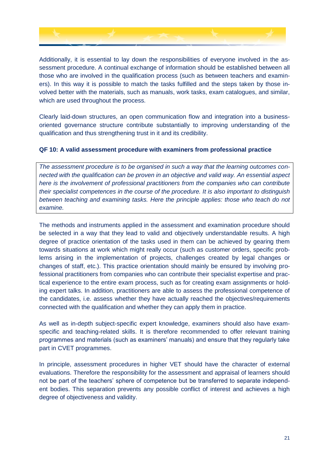

Additionally, it is essential to lay down the responsibilities of everyone involved in the assessment procedure. A continual exchange of information should be established between all those who are involved in the qualification process (such as between teachers and examiners). In this way it is possible to match the tasks fulfilled and the steps taken by those involved better with the materials, such as manuals, work tasks, exam catalogues, and similar, which are used throughout the process.

Clearly laid-down structures, an open communication flow and integration into a businessoriented governance structure contribute substantially to improving understanding of the qualification and thus strengthening trust in it and its credibility.

#### **QF 10: A valid assessment procedure with examiners from professional practice**

*The assessment procedure is to be organised in such a way that the learning outcomes connected with the qualification can be proven in an objective and valid way. An essential aspect here is the involvement of professional practitioners from the companies who can contribute their specialist competences in the course of the procedure. It is also important to distinguish between teaching and examining tasks. Here the principle applies: those who teach do not examine.*

The methods and instruments applied in the assessment and examination procedure should be selected in a way that they lead to valid and objectively understandable results. A high degree of practice orientation of the tasks used in them can be achieved by gearing them towards situations at work which might really occur (such as customer orders, specific problems arising in the implementation of projects, challenges created by legal changes or changes of staff, etc.). This practice orientation should mainly be ensured by involving professional practitioners from companies who can contribute their specialist expertise and practical experience to the entire exam process, such as for creating exam assignments or holding expert talks. In addition, practitioners are able to assess the professional competence of the candidates, i.e. assess whether they have actually reached the objectives/requirements connected with the qualification and whether they can apply them in practice.

As well as in-depth subject-specific expert knowledge, examiners should also have examspecific and teaching-related skills. It is therefore recommended to offer relevant training programmes and materials (such as examiners' manuals) and ensure that they regularly take part in CVET programmes.

In principle, assessment procedures in higher VET should have the character of external evaluations. Therefore the responsibility for the assessment and appraisal of learners should not be part of the teachers' sphere of competence but be transferred to separate independent bodies. This separation prevents any possible conflict of interest and achieves a high degree of objectiveness and validity.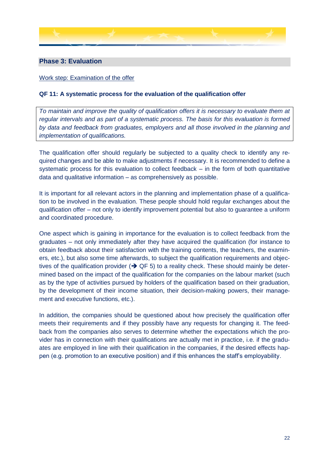

#### <span id="page-27-0"></span>**Phase 3: Evaluation**

#### Work step: Examination of the offer

#### **QF 11: A systematic process for the evaluation of the qualification offer**

*To maintain and improve the quality of qualification offers it is necessary to evaluate them at regular intervals and as part of a systematic process. The basis for this evaluation is formed by data and feedback from graduates, employers and all those involved in the planning and implementation of qualifications.*

The qualification offer should regularly be subjected to a quality check to identify any required changes and be able to make adjustments if necessary. It is recommended to define a systematic process for this evaluation to collect feedback – in the form of both quantitative data and qualitative information – as comprehensively as possible.

It is important for all relevant actors in the planning and implementation phase of a qualification to be involved in the evaluation. These people should hold regular exchanges about the qualification offer – not only to identify improvement potential but also to guarantee a uniform and coordinated procedure.

One aspect which is gaining in importance for the evaluation is to collect feedback from the graduates – not only immediately after they have acquired the qualification (for instance to obtain feedback about their satisfaction with the training contents, the teachers, the examiners, etc.), but also some time afterwards, to subject the qualification requirements and objectives of the qualification provider ( $\rightarrow$  QF 5) to a reality check. These should mainly be determined based on the impact of the qualification for the companies on the labour market (such as by the type of activities pursued by holders of the qualification based on their graduation, by the development of their income situation, their decision-making powers, their management and executive functions, etc.).

In addition, the companies should be questioned about how precisely the qualification offer meets their requirements and if they possibly have any requests for changing it. The feedback from the companies also serves to determine whether the expectations which the provider has in connection with their qualifications are actually met in practice, i.e. if the graduates are employed in line with their qualification in the companies, if the desired effects happen (e.g. promotion to an executive position) and if this enhances the staff's employability.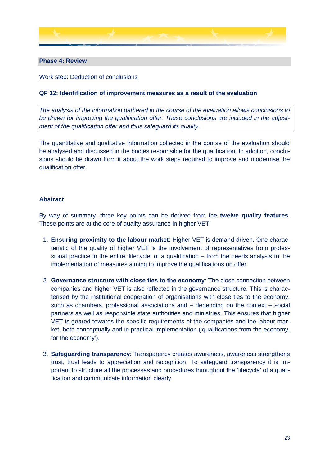

#### <span id="page-28-0"></span>**Phase 4: Review**

#### Work step: Deduction of conclusions

#### **QF 12: Identification of improvement measures as a result of the evaluation**

*The analysis of the information gathered in the course of the evaluation allows conclusions to be drawn for improving the qualification offer. These conclusions are included in the adjustment of the qualification offer and thus safeguard its quality.*

The quantitative and qualitative information collected in the course of the evaluation should be analysed and discussed in the bodies responsible for the qualification. In addition, conclusions should be drawn from it about the work steps required to improve and modernise the qualification offer.

#### <span id="page-28-1"></span>**Abstract**

By way of summary, three key points can be derived from the **twelve quality features**. These points are at the core of quality assurance in higher VET:

- 1. **Ensuring proximity to the labour market**: Higher VET is demand-driven. One characteristic of the quality of higher VET is the involvement of representatives from professional practice in the entire 'lifecycle' of a qualification – from the needs analysis to the implementation of measures aiming to improve the qualifications on offer.
- 2. **Governance structure with close ties to the economy**: The close connection between companies and higher VET is also reflected in the governance structure. This is characterised by the institutional cooperation of organisations with close ties to the economy, such as chambers, professional associations and – depending on the context – social partners as well as responsible state authorities and ministries. This ensures that higher VET is geared towards the specific requirements of the companies and the labour market, both conceptually and in practical implementation ('qualifications from the economy, for the economy').
- 3. **Safeguarding transparency**: Transparency creates awareness, awareness strengthens trust, trust leads to appreciation and recognition. To safeguard transparency it is important to structure all the processes and procedures throughout the 'lifecycle' of a qualification and communicate information clearly.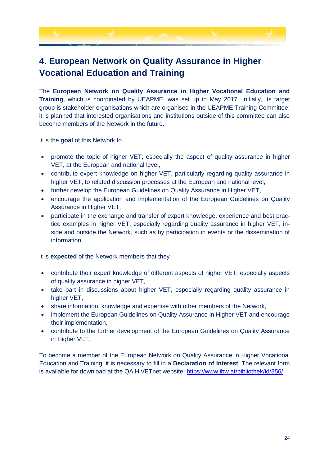

## <span id="page-29-0"></span>**4. European Network on Quality Assurance in Higher Vocational Education and Training**

The **European Network on Quality Assurance in Higher Vocational Education and Training**, which is coordinated by UEAPME, was set up in May 2017. Initially, its target group is stakeholder organisations which are organised in the UEAPME Training Committee; it is planned that interested organisations and institutions outside of this committee can also become members of the Network in the future.

It is the **goal** of this Network to

- promote the topic of higher VET, especially the aspect of quality assurance in higher VET, at the European and national level,
- contribute expert knowledge on higher VET, particularly regarding quality assurance in higher VET, to related discussion processes at the European and national level,
- further develop the European Guidelines on Quality Assurance in Higher VET,
- encourage the application and implementation of the European Guidelines on Quality Assurance in Higher VET,
- participate in the exchange and transfer of expert knowledge, experience and best practice examples in higher VET, especially regarding quality assurance in higher VET, inside and outside the Network, such as by participation in events or the dissemination of information.

#### It is **expected** of the Network members that they

- contribute their expert knowledge of different aspects of higher VET, especially aspects of quality assurance in higher VET,
- take part in discussions about higher VET, especially regarding quality assurance in higher VET,
- share information, knowledge and expertise with other members of the Network,
- implement the European Guidelines on Quality Assurance in Higher VET and encourage their implementation,
- contribute to the further development of the European Guidelines on Quality Assurance in Higher VET.

To become a member of the European Network on Quality Assurance in Higher Vocational Education and Training, it is necessary to fill in a **Declaration of Interest**. The relevant form is available for download at the QA HiVETnet website: [https://www.ibw.at/bibliothek/id/356/.](https://www.ibw.at/bibliothek/id/356/)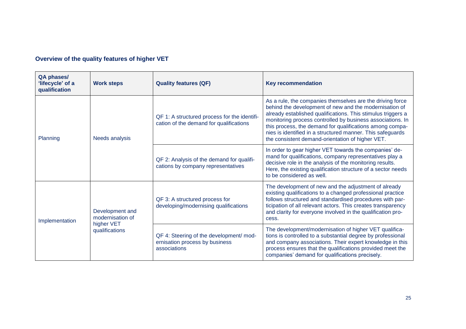### **Overview of the quality features of higher VET**

<span id="page-30-0"></span>

| QA phases/<br>'lifecycle' of a<br>qualification | <b>Work steps</b>                                                   | <b>Quality features (QF)</b>                                                              | <b>Key recommendation</b>                                                                                                                                                                                                                                                                                                                                                                                                       |
|-------------------------------------------------|---------------------------------------------------------------------|-------------------------------------------------------------------------------------------|---------------------------------------------------------------------------------------------------------------------------------------------------------------------------------------------------------------------------------------------------------------------------------------------------------------------------------------------------------------------------------------------------------------------------------|
| Planning                                        | Needs analysis                                                      | QF 1: A structured process for the identifi-<br>cation of the demand for qualifications   | As a rule, the companies themselves are the driving force<br>behind the development of new and the modernisation of<br>already established qualifications. This stimulus triggers a<br>monitoring process controlled by business associations. In<br>this process, the demand for qualifications among compa-<br>nies is identified in a structured manner. This safeguards<br>the consistent demand-orientation of higher VET. |
|                                                 |                                                                     | QF 2: Analysis of the demand for qualifi-<br>cations by company representatives           | In order to gear higher VET towards the companies' de-<br>mand for qualifications, company representatives play a<br>decisive role in the analysis of the monitoring results.<br>Here, the existing qualification structure of a sector needs<br>to be considered as well.                                                                                                                                                      |
| Implementation                                  | Development and<br>modernisation of<br>higher VET<br>qualifications | QF 3: A structured process for<br>developing/modernising qualifications                   | The development of new and the adjustment of already<br>existing qualifications to a changed professional practice<br>follows structured and standardised procedures with par-<br>ticipation of all relevant actors. This creates transparency<br>and clarity for everyone involved in the qualification pro-<br>cess.                                                                                                          |
|                                                 |                                                                     | QF 4: Steering of the development/ mod-<br>ernisation process by business<br>associations | The development/modernisation of higher VET qualifica-<br>tions is controlled to a substantial degree by professional<br>and company associations. Their expert knowledge in this<br>process ensures that the qualifications provided meet the<br>companies' demand for qualifications precisely.                                                                                                                               |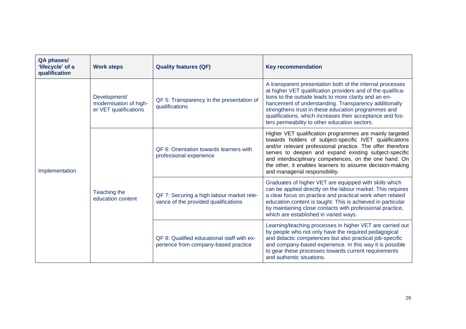| QA phases/<br>'lifecycle' of a<br>qualification | <b>Work steps</b>                                               | <b>Quality features (QF)</b>                                                       | <b>Key recommendation</b>                                                                                                                                                                                                                                                                                                                                                                                       |
|-------------------------------------------------|-----------------------------------------------------------------|------------------------------------------------------------------------------------|-----------------------------------------------------------------------------------------------------------------------------------------------------------------------------------------------------------------------------------------------------------------------------------------------------------------------------------------------------------------------------------------------------------------|
| Implementation                                  | Development/<br>modernisation of high-<br>er VET qualifications | QF 5: Transparency in the presentation of<br>qualifications                        | A transparent presentation both of the internal processes<br>at higher VET qualification providers and of the qualifica-<br>tions to the outside leads to more clarity and an en-<br>hancement of understanding. Transparency additionally<br>strengthens trust in these education programmes and<br>qualifications, which increases their acceptance and fos-<br>ters permeability to other education sectors. |
|                                                 | Teaching the<br>education content                               | QF 6: Orientation towards learners with<br>professional experience                 | Higher VET qualification programmes are mainly targeted<br>towards holders of subject-specific IVET qualifications<br>and/or relevant professional practice. The offer therefore<br>serves to deepen and expand existing subject-specific<br>and interdisciplinary competences, on the one hand. On<br>the other, it enables learners to assume decision-making<br>and managerial responsibility.               |
|                                                 |                                                                 | QF 7: Securing a high labour market rele-<br>vance of the provided qualifications  | Graduates of higher VET are equipped with skills which<br>can be applied directly on the labour market. This requires<br>a clear focus on practice and practical work when related<br>education content is taught. This is achieved in particular<br>by maintaining close contacts with professional practice,<br>which are established in varied ways.                                                         |
|                                                 |                                                                 | QF 8: Qualified educational staff with ex-<br>perience from company-based practice | Learning/teaching processes in higher VET are carried out<br>by people who not only have the required pedagogical<br>and didactic competences but also practical job-specific<br>and company-based experience. In this way it is possible<br>to gear these processes towards current requirements<br>and authentic situations.                                                                                  |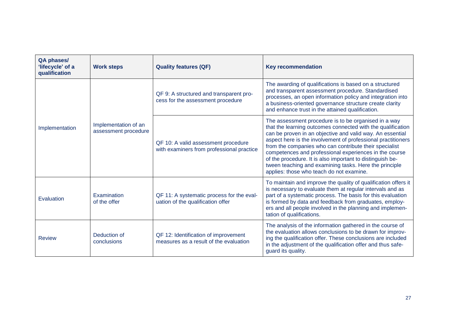| QA phases/<br>'lifecycle' of a<br>qualification | <b>Work steps</b>                            | <b>Quality features (QF)</b>                                                     | <b>Key recommendation</b>                                                                                                                                                                                                                                                                                                                                                                                                                                                                                                               |
|-------------------------------------------------|----------------------------------------------|----------------------------------------------------------------------------------|-----------------------------------------------------------------------------------------------------------------------------------------------------------------------------------------------------------------------------------------------------------------------------------------------------------------------------------------------------------------------------------------------------------------------------------------------------------------------------------------------------------------------------------------|
| Implementation                                  | Implementation of an<br>assessment procedure | QF 9: A structured and transparent pro-<br>cess for the assessment procedure     | The awarding of qualifications is based on a structured<br>and transparent assessment procedure. Standardised<br>processes, an open information policy and integration into<br>a business-oriented governance structure create clarity<br>and enhance trust in the attained qualification.                                                                                                                                                                                                                                              |
|                                                 |                                              | QF 10: A valid assessment procedure<br>with examiners from professional practice | The assessment procedure is to be organised in a way<br>that the learning outcomes connected with the qualification<br>can be proven in an objective and valid way. An essential<br>aspect here is the involvement of professional practitioners<br>from the companies who can contribute their specialist<br>competences and professional experiences in the course<br>of the procedure. It is also important to distinguish be-<br>tween teaching and examining tasks. Here the principle<br>applies: those who teach do not examine. |
| Evaluation                                      | Examination<br>of the offer                  | QF 11: A systematic process for the eval-<br>uation of the qualification offer   | To maintain and improve the quality of qualification offers it<br>is necessary to evaluate them at regular intervals and as<br>part of a systematic process. The basis for this evaluation<br>is formed by data and feedback from graduates, employ-<br>ers and all people involved in the planning and implemen-<br>tation of qualifications.                                                                                                                                                                                          |
| <b>Review</b>                                   | Deduction of<br>conclusions                  | QF 12: Identification of improvement<br>measures as a result of the evaluation   | The analysis of the information gathered in the course of<br>the evaluation allows conclusions to be drawn for improv-<br>ing the qualification offer. These conclusions are included<br>in the adjustment of the qualification offer and thus safe-<br>guard its quality.                                                                                                                                                                                                                                                              |